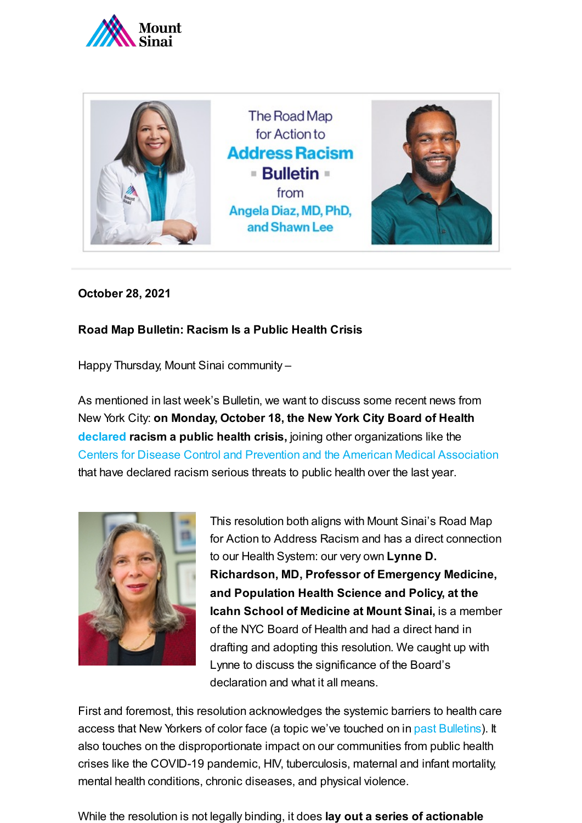



**October 28, 2021**

## **Road Map Bulletin: Racism Is a Public Health Crisis**

Happy Thursday, Mount Sinai community –

As mentioned in last week's Bulletin, we want to discuss some recent news from New York City: **on Monday, October 18, the New York City Board of Health [declared](https://thehill.com/policy/healthcare/public-global-health/577597-nyc-board-of-health-declares-racism-a-public-health?rl=1) racism a public health crisis,** joining other organizations like the [Centers for](https://thehill.com/policy/healthcare/547251-cdc-director-says-racism-is-serious-public-health-threat) Disease Control and Prevention and the American Medical [Association](https://thehill.com/homenews/news/526683-american-medical-association-recognizes-racism-as-public-health-threat) that have declared racism serious threats to public health over the last year.



This resolution both aligns with Mount Sinai's Road Map for Action to Address Racism and has a direct connection to our Health System: our very own **Lynne D. Richardson, MD, Professor of Emergency Medicine, and Population Health Science and Policy, at the Icahn School of Medicine at Mount Sinai,** is a member of the NYC Board of Health and had a direct hand in drafting and adopting this resolution. We caught up with Lynne to discuss the significance of the Board's declaration and what it all means.

First and foremost, this resolution acknowledges the systemic barriers to health care access that New Yorkers of color face (a topic we've touched on in past [Bulletins\)](https://www.mountsinai.org/about/addressing-racism/bulletins). It also touches on the disproportionate impact on our communities from public health crises like the COVID-19 pandemic, HIV, tuberculosis, maternal and infant mortality, mental health conditions, chronic diseases, and physical violence.

While the resolution is not legally binding, it does **lay out a series of actionable**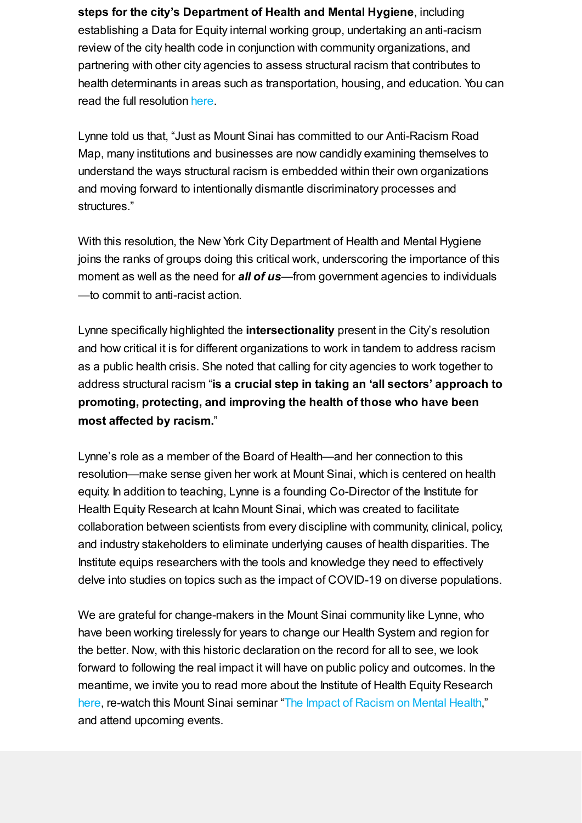**steps for the city's Department of Health and Mental Hygiene**, including establishing a Data for Equity internal working group, undertaking an anti-racism review of the city health code in conjunction with community organizations, and partnering with other city agencies to assess structural racism that contributes to health determinants in areas such as transportation, housing, and education. You can read the full resolution [here.](https://www1.nyc.gov/assets/doh/downloads/pdf/boh/racism-public-health-crisis-resolution.pdf)

Lynne told us that, "Just as Mount Sinai has committed to our Anti-Racism Road Map, many institutions and businesses are now candidly examining themselves to understand the ways structural racism is embedded within their own organizations and moving forward to intentionally dismantle discriminatory processes and structures."

With this resolution, the New York City Department of Health and Mental Hygiene joins the ranks of groups doing this critical work, underscoring the importance of this moment as well as the need for *all of us*—from government agencies to individuals —to commit to anti-racist action.

Lynne specifically highlighted the **intersectionality** present in the City's resolution and how critical it is for different organizations to work in tandem to address racism as a public health crisis. She noted that calling for city agencies to work together to address structural racism "**is a crucial step in taking an 'all sectors' approach to promoting, protecting, and improving the health of those who have been most affected by racism.**"

Lynne's role as a member of the Board of Health—and her connection to this resolution—make sense given her work at Mount Sinai, which is centered on health equity. In addition to teaching, Lynne is a founding Co-Director of the Institute for Health Equity Research at Icahn Mount Sinai, which was created to facilitate collaboration between scientists from every discipline with community, clinical, policy, and industry stakeholders to eliminate underlying causes of health disparities. The Institute equips researchers with the tools and knowledge they need to effectively delve into studies on topics such as the impact of COVID-19 on diverse populations.

We are grateful for change-makers in the Mount Sinai community like Lynne, who have been working tirelessly for years to change our Health System and region for the better. Now, with this historic declaration on the record for all to see, we look forward to following the real impact it will have on public policy and outcomes. In the meantime, we invite you to read more about the Institute of Health Equity Research [here,](https://icahn.mssm.edu/research/institute-health-equity-research) re-watch this Mount Sinai seminar "The Impact of [Racism](https://health.mountsinai.org/blog/mount-sinai-seminar-on-racism-and-mental-health-draws-an-international-audience-of-nearly-500-participants/) on Mental Health," and attend upcoming events.